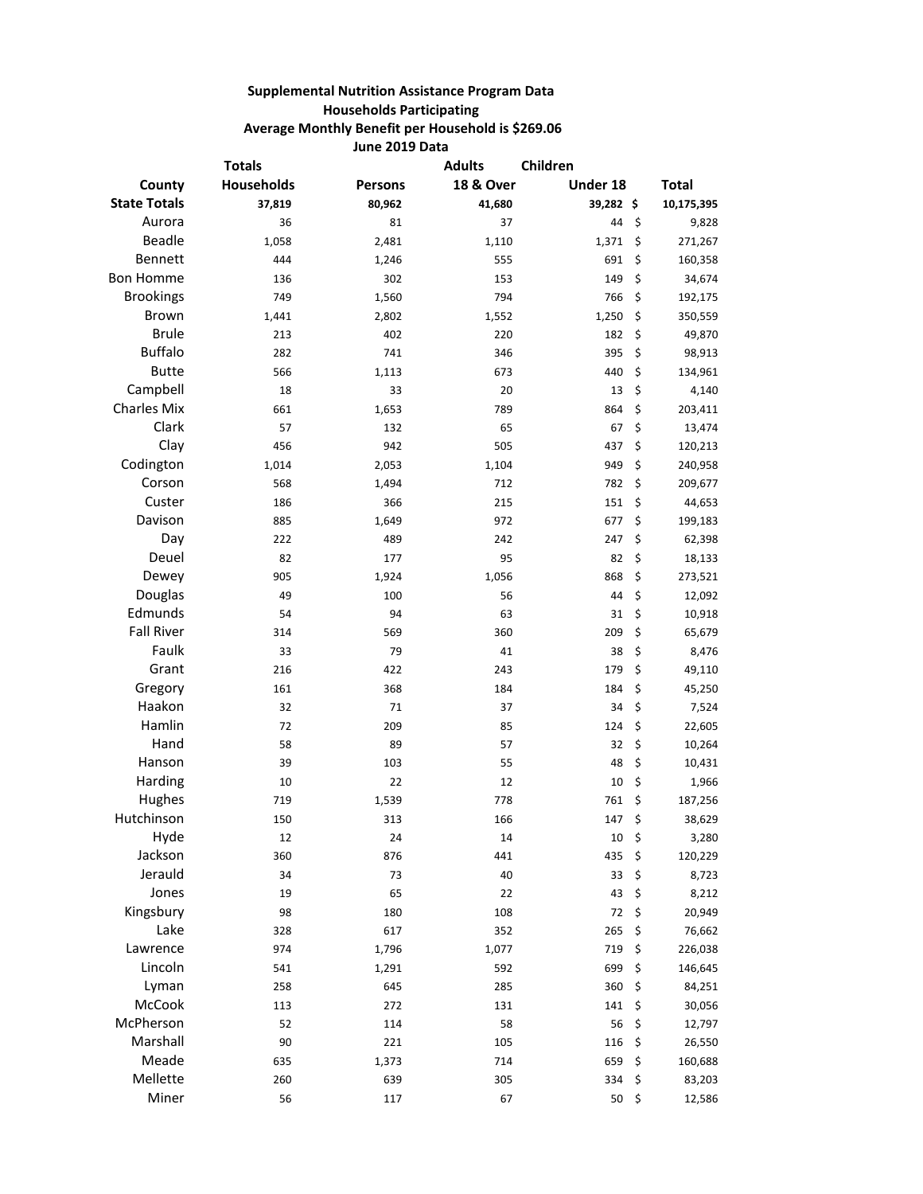## **Supplemental Nutrition Assistance Program Data Households Participating Average Monthly Benefit per Household is \$269.06 June 2019 Data**

|                     | <b>Totals</b>     |                | <b>Adults</b>        | Children  |      |              |
|---------------------|-------------------|----------------|----------------------|-----------|------|--------------|
| County              | <b>Households</b> | <b>Persons</b> | <b>18 &amp; Over</b> | Under 18  |      | <b>Total</b> |
| <b>State Totals</b> | 37,819            | 80,962         | 41,680               | 39,282 \$ |      | 10,175,395   |
| Aurora              | 36                | 81             | 37                   | 44        | \$   | 9,828        |
| Beadle              | 1,058             | 2,481          | 1,110                | 1,371     | \$   | 271,267      |
| Bennett             | 444               | 1,246          | 555                  | 691       | \$   | 160,358      |
| <b>Bon Homme</b>    | 136               | 302            | 153                  | 149       | \$   | 34,674       |
| <b>Brookings</b>    | 749               | 1,560          | 794                  | 766       | \$   | 192,175      |
| <b>Brown</b>        | 1,441             | 2,802          | 1,552                | 1,250     | \$   | 350,559      |
| <b>Brule</b>        | 213               | 402            | 220                  | 182       | \$   | 49,870       |
| <b>Buffalo</b>      | 282               | 741            | 346                  | 395       | \$   | 98,913       |
| <b>Butte</b>        | 566               | 1,113          | 673                  | 440       | \$   | 134,961      |
| Campbell            | 18                | 33             | 20                   | 13        | \$   | 4,140        |
| <b>Charles Mix</b>  | 661               | 1,653          | 789                  | 864       | \$   | 203,411      |
| Clark               | 57                | 132            | 65                   | 67        | \$   | 13,474       |
| Clay                | 456               | 942            | 505                  | 437       | \$   | 120,213      |
| Codington           | 1,014             | 2,053          | 1,104                | 949       | \$   | 240,958      |
| Corson              | 568               | 1,494          | 712                  | 782       | \$   | 209,677      |
| Custer              | 186               | 366            | 215                  | 151       | \$   | 44,653       |
| Davison             | 885               | 1,649          | 972                  | 677       | \$   | 199,183      |
| Day                 | 222               | 489            | 242                  | 247       | \$   | 62,398       |
| Deuel               | 82                | 177            | 95                   | 82        | \$   | 18,133       |
| Dewey               | 905               | 1,924          | 1,056                | 868       | \$   | 273,521      |
| Douglas             | 49                | 100            | 56                   | 44        | \$   | 12,092       |
| Edmunds             | 54                | 94             | 63                   | 31        | \$   | 10,918       |
| <b>Fall River</b>   | 314               | 569            | 360                  | 209       | \$   | 65,679       |
| Faulk               | 33                | 79             | 41                   | 38        | \$   | 8,476        |
| Grant               | 216               | 422            | 243                  | 179       | \$   | 49,110       |
| Gregory             | 161               | 368            | 184                  | 184       | \$   | 45,250       |
| Haakon              | 32                | 71             | 37                   | 34        | \$   | 7,524        |
| Hamlin              | 72                | 209            | 85                   | 124       | \$   | 22,605       |
| Hand                | 58                | 89             | 57                   | 32        | \$   | 10,264       |
| Hanson              | 39                | 103            | 55                   | 48        | \$   | 10,431       |
| Harding             | 10                | 22             | 12                   | 10        | \$   | 1,966        |
| Hughes              | 719               | 1,539          | 778                  | 761       | \$   | 187,256      |
| Hutchinson          | 150               | 313            | 166                  | 147       | \$   | 38,629       |
| Hyde                | 12                | 24             | 14                   | 10        | \$   | 3,280        |
| Jackson             | 360               | 876            | 441                  | 435       | \$   | 120,229      |
| Jerauld             | 34                | 73             | 40                   | 33        | \$   | 8,723        |
| Jones               | 19                | 65             | 22                   | 43        | \$   | 8,212        |
| Kingsbury           | 98                | 180            | 108                  | 72        | \$   | 20,949       |
| Lake                | 328               | 617            | 352                  | 265       | \$   | 76,662       |
| Lawrence            | 974               | 1,796          | 1,077                | 719       | \$   | 226,038      |
| Lincoln             | 541               | 1,291          | 592                  | 699       | \$   | 146,645      |
| Lyman               | 258               | 645            | 285                  | 360       | \$   | 84,251       |
| McCook              | 113               | 272            | 131                  | 141       | \$   | 30,056       |
| McPherson           | 52                | 114            | 58                   | 56        | \$   | 12,797       |
| Marshall            | 90                | 221            | 105                  | 116       | \$   | 26,550       |
| Meade               | 635               | 1,373          | 714                  | 659       | \$   | 160,688      |
| Mellette            | 260               | 639            | 305                  | 334       | \$   | 83,203       |
| Miner               | 56                | 117            | 67                   | 50        | - \$ | 12,586       |